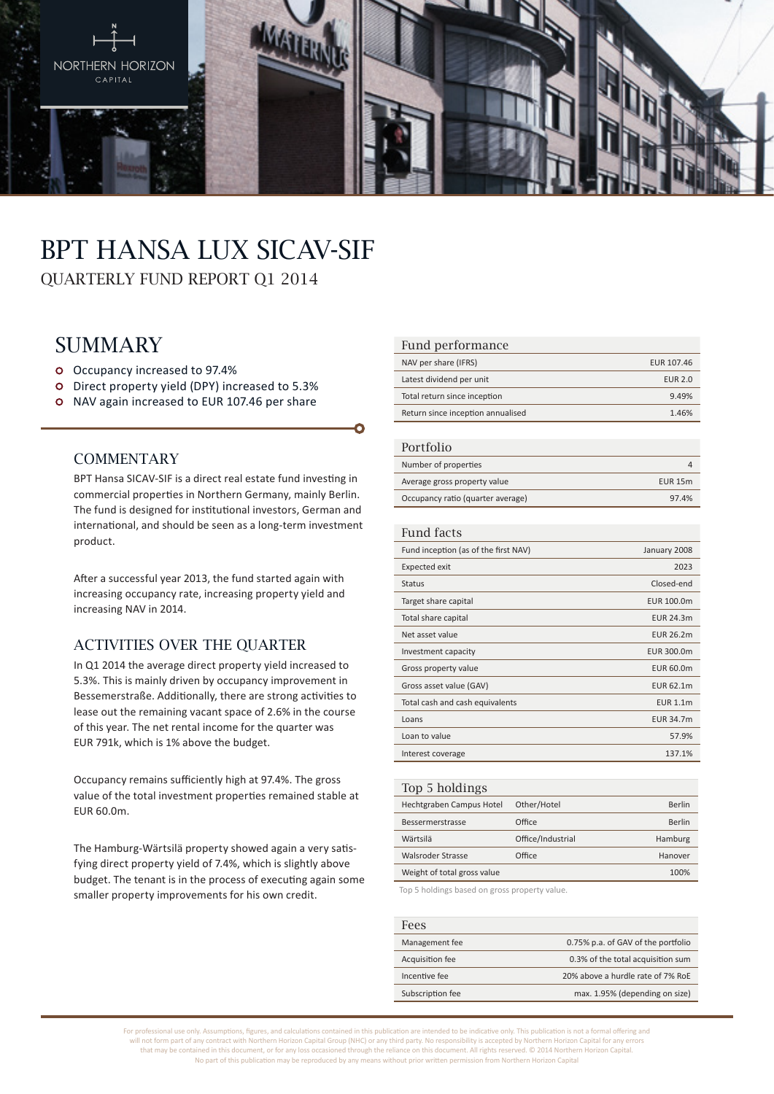

# BPT Hansa Lux SICAV-SIF QUARTERLY FUND REPORT Q1 2014

## **SUMMARY**

- Occupancy increased to 97.4%
- Direct property yield (DPY) increased to 5.3%
- o NAV again increased to EUR 107.46 per share

### **COMMENTARY**

BPT Hansa SICAV-SIF is a direct real estate fund investing in commercial properties in Northern Germany, mainly Berlin. The fund is designed for institutional investors, German and international, and should be seen as a long-term investment product.

After a successful year 2013, the fund started again with increasing occupancy rate, increasing property yield and increasing NAV in 2014.

#### Activities over the quarter

In Q1 2014 the average direct property yield increased to 5.3%. This is mainly driven by occupancy improvement in Bessemerstraße. Additionally, there are strong activities to lease out the remaining vacant space of 2.6% in the course of this year. The net rental income for the quarter was EUR 791k, which is 1% above the budget.

Occupancy remains sufficiently high at 97.4%. The gross value of the total investment properties remained stable at EUR 60.0m.

The Hamburg-Wärtsilä property showed again a very satisfying direct property yield of 7.4%, which is slightly above budget. The tenant is in the process of executing again some smaller property improvements for his own credit.

#### Fund performance

| NAV per share (IFRS)              | EUR 107.46     |
|-----------------------------------|----------------|
| Latest dividend per unit          | <b>EUR 2.0</b> |
| Total return since inception      | 9.49%          |
| Return since inception annualised | 146%           |

#### Portfolio

| T OT LIDITU                       |                |
|-----------------------------------|----------------|
| Number of properties              |                |
| Average gross property value      | <b>EUR 15m</b> |
| Occupancy ratio (quarter average) | 97.4%          |

#### Fund facts

| Fund inception (as of the first NAV) | January 2008     |
|--------------------------------------|------------------|
| <b>Expected exit</b>                 | 2023             |
| <b>Status</b>                        | Closed-end       |
| Target share capital                 | EUR 100.0m       |
| Total share capital                  | <b>EUR 24.3m</b> |
| Net asset value                      | EUR 26.2m        |
| Investment capacity                  | EUR 300.0m       |
| Gross property value                 | EUR 60.0m        |
| Gross asset value (GAV)              | <b>EUR 62.1m</b> |
| Total cash and cash equivalents      | <b>EUR 1.1m</b>  |
| Loans                                | <b>EUR 34.7m</b> |
| Loan to value                        | 57.9%            |
| Interest coverage                    | 137.1%           |
|                                      |                  |

| Top 5 holdings              |                   |         |
|-----------------------------|-------------------|---------|
| Hechtgraben Campus Hotel    | Other/Hotel       | Berlin  |
| Bessermerstrasse            | Office            | Berlin  |
| Wärtsilä                    | Office/Industrial | Hamburg |
| Walsroder Strasse           | Office            | Hanover |
| Weight of total gross value |                   | 100%    |
|                             |                   |         |

Top 5 holdings based on gross property value.

| Fees             |                                    |
|------------------|------------------------------------|
| Management fee   | 0.75% p.a. of GAV of the portfolio |
| Acquisition fee  | 0.3% of the total acquisition sum  |
| Incentive fee    | 20% above a hurdle rate of 7% RoE  |
| Subscription fee | max. 1.95% (depending on size)     |

For professional use only. Assumptions, figures, and calculations contained in this publication are intended to be indicative only. This publication is not a formal offering and will not form part of any contract with Northern Horizon Capital Group (NHC) or any third party. No responsibility is accepted by Northern Horizon Capital for any errors that may be contained in this document, or for any loss occasioned through the reliance on this document. All rights reserved. © 2014 Northern Horizon Capital. No part of this publication may be reproduced by any means without prior written permission from Northern Horizon Capital